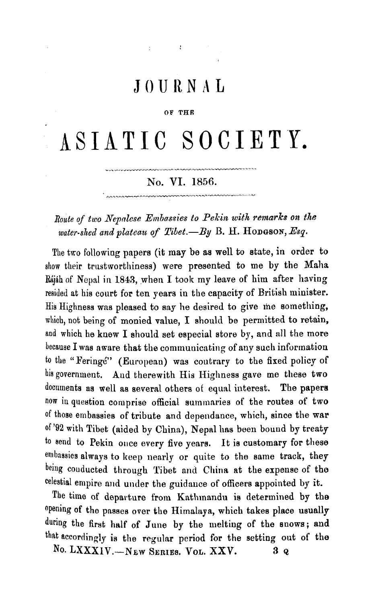## JOURNAL

 $\mathbf{r} = \mathbf{r} \times \mathbf{r}$  . The  $\mathbf{r}$ 

#### OF THE

# ASIATIC SOCIETY.

### No. VI. 1856.

Route of two Nepalese Embassies to Pekin with remarks on the water-shed and plateau of Tibet.-By B. H. HODGSON, Esq.

The two following papers (it may be as well to state, in order to show their trustworthiness) were presented to me by the Maha Rájáh of Nepal in 1843, when I took my leave of him after having resided at his court for ten years in the capacity of British minister. His Highness was pleased to say he desired to give me something, which, not being of monied value, I should be permitted to retain, and which he knew I should set especial store by, and all the more because I was aware that the communicating of any such information to the "Feringe" (European) was contrary to the fixed policy of his government. And therewith His Highness gave me these two documents as well as several others of equal interest. The papers now in question comprise official summaries of the routes of two of those embassies of tribute and dependance, which, since the war of '92 with Tibet (aided by China), Nepal has been bound by treaty to send to Pekin once every five years. It is customary for these embassies always to keep nearly or quite to the same track, they being couducted through Tibet and China at the expense of the celestial empire and under the guidance of officers appointed by it.

The time of departure from Kathmandu is determined by the opening of the passes over the Himalaya, which takes place usually during the first half of June by the melting of the snows; and that accordingly is the regular period for the setting out of the

No. LXXXIV.--NEW SERIES. VOL. XXV.  $3Q$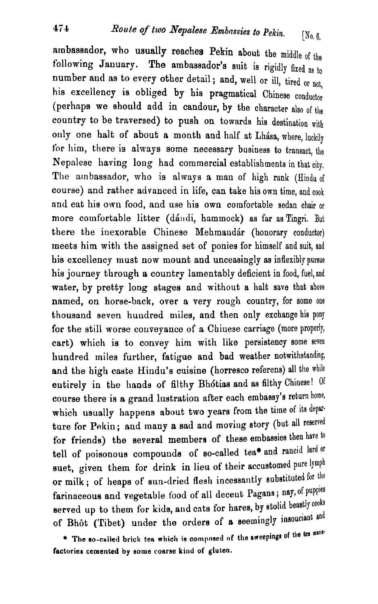ambassador, who usually reaches Pekin about the middle  $\mathcal{L}_{\text{tr}}$ Following January. The ambassador's suit is rigidly fixed as to<br>
number and as to example a the ambassador's suit is rigidly fixed as to<br>
number and as to example a the ambassador's suit is rigidly fixed as to following January. The ambassador's suit is rigidly fixed as to number and as to every other detail; and, well or ill, tired or not, his excellency is obliged by his pragmatical Chinese conductor (perhaps we should add in candour, by the character also of the country to be traversed) to push on towards his destination with only one halt of about a month and half at Lhasa, where, luckily for him, there is always some necessary business to transact, the Nepalese having long had commercial establishments in that city. The ambassador, who is always a man of high rank (Hindu of course) and rather advanced in life, can take his own time, and cook and eat his own food, and use his own comfortable sedan chair or more comfortable litter (dándi, hammock) as far as Tingri. But there the inexorable Chinese Mehmandár (honorary conductor) meets him with the assigned set of ponies for himself and suit, and his excellency must now mount and unceasingly as inflexibly pursue his journey through a country lamentably deficient in food, fuel, and water, by pretty long stages and without a halt save that above named, on horse-back, over a very rough country, for some one thousand seven huudred miles, and then only exchange hia pony for the still worse conveyance of a Chinese carriage (more properly, cart) which is to convey him with like persistency some seven hundred miles further, fatigue and bad weather notwithstanding, and the high caste Hindu's cuisine (horresco referens) all the while entirely in the hands of filthy Bhótias and as filthy Chinese! Of course there is a grand lustration after each embassy's return home, which usually happens about two years from the time of its departure for Pekin; and many a sad and moving story (but all reserved for friends) the several members of these embassies then have to tell of poisonous compounds of so-called tea\* and rancid lard or suet, given them for drink in lieu of their accustomed pure lymph or milk; of heaps of sun-dried flesh incessantly substituted for the farinaceous and vegetable food of all deceut Pagans; nay, of puppies served up to them for kids, and cats for hares, by stolid beastly cooks of Bhôt (Tibet) under the orders of a seemingly insouciant and

\* The so-called brick tea which is composed of the sweepings of the tea mana**factorier cemented by eome coarse kind of gluten.**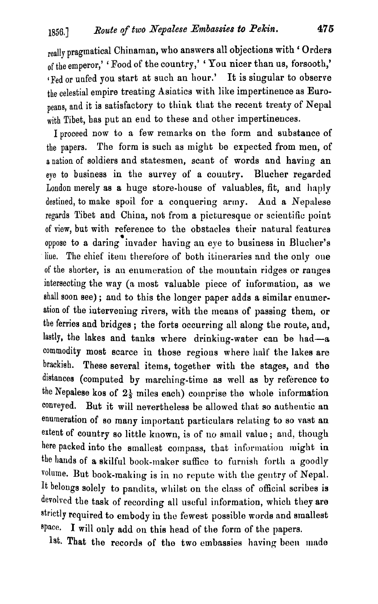really pragmatical Chinaman, who answers all objections with ' Orders of the emperor,' ' Food of the country,' ' You nicer than us, forsooth,' (Fed or unfed you start at such an hour.' It is singular to observe the celestial empire treating Asiatics with like impertinence as Euroneans, and it is satisfactory to think that the recent treaty of Nepal with Tibet, bas put an end to these and other impertinences.

I proceed now to a few remarlts on the form and substance of the papers. The form is such as might be expected from men, of a nation of soldiers and statesmen, scant of words and haviug an eye to business in the survey of a couutry. Blucher regarded London merely as a huge store-house of valuables, fit, and haply destiued, to make spoil for a conquering army. And a Nepalese regards Tibet and China, not from a picturesque or scientific point of view, but with reference to the obstacles their natural features **<sup>a</sup>** oppose to a daring invader having an eye to business in Blucher's liue. The chief item therefore of both itineraries and the only one of the shorter, is an enumeration of the mountain ridges or ranges intersecting the **way** (a most valuable piece of information, as we shall soon see) ; and to this the longer paper adds a similar enumeration of the intervening rivers, with the means of passing them, or the ferries and bridges ; the forts occurring all along the route, and, lastly, the lakes and tanks where drinking-water can be had-a commodity most scarce in those regions where half the lakes are brackish. These several items, together with the stages, and the distances (computed by marching-time as well as by reference to the Nepalese kos of  $2\frac{1}{3}$  miles each) comprise the whole information conveyed. But it will nevertheless be allowed that so authentic an enumeration of so many important particulars relating to so vast an extent of country so little known, is of no small value; and, though here packed into the smallest compass, that information might in the hands of a skilful book-maker suffice to furnish forth a goodly volume. But book-making is in no repute with the gentry of Nepal. *It* belongs solely to pnndits, wliilst on the class of official scribes is devolved the task of recording all useful information, which they are strictly required to embody in the fewest possible words and smallest space. I will only add on this head of the form of the papers.

1st. That the records of the two embassies having been made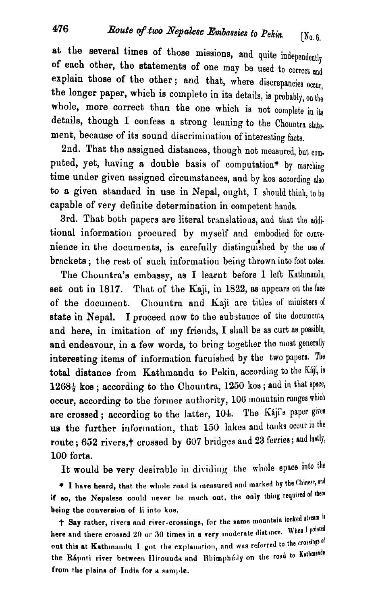at the several times of those missions, and quite independently **of** each other, the statements of one may be used to correct and explain those of the other; and that, where discrepancies occur, the longer paper, which is complete in its details, is probably, on the whole, more correct than the one which is not complete in its details, though I confess a strong leaning to the Chountra statement, because of its sound discrimination of interesting facts.

2nd. That the assigned distances, though not measured, but computed, yet, having a double basis of computation\* by marching time under given assigned circumstances, and by kos according also to a given standard in use in Nepal, ought, I should think to be capable of very definite determination in competent hauda.

3rd. That both papers are literal translations, and that the additional information procured by myself and embodied for convenience in the documents, is carefully distinguished by the use of brackets; the rest of such information being thrown into foot notes.

The Chountra's embassy, as I learnt before  $I$  left Kathmandu, set out in  $1817$ . That of the Kaji, in  $1822$ , as appears on the face of the document. Chountra and Kaji are titles of ministers of state in Nepal. I proceed now to the substance of the documents, and here, in imitation of my friends, I shall be as curt as possible, and endeavour, in a few words, to bring together the most generally interesting items of information furnished by the two papers. The total distance from Kathmandu to Pekin, according to the Kaji, is  $1268\frac{1}{2}$  kos; according to the Chountra, 1250 kos; and in that space, occur, according to the former authority, 106 mountain ranges which are crossed; according to the latter, 104. The Kaji's paper gives us the further information, that 150 lakes and tanks occur in the route; 652 rivers,† crossed by 607 bridges and 23 ferries; and lastly, 100 forts.

It would be very desirable in dividing the whole space into the

\* I have heard, that the whole road is measured and marked by the Chinese, and if so, the Nepalese could never be much out, the only thing required of them being the conversion of li into kos.

**f** Say rather, rivers and river-crossings, for the same mountain locked stream is here and there crossed 20 or 30 times in a very moderate distance. When I pointed out this at Kathmandu I got the explanation, and was referred to the crossings of the Ráputi river between Hitouuda and Bhimphédy on the road to Kathmando from the plains of India for a sample.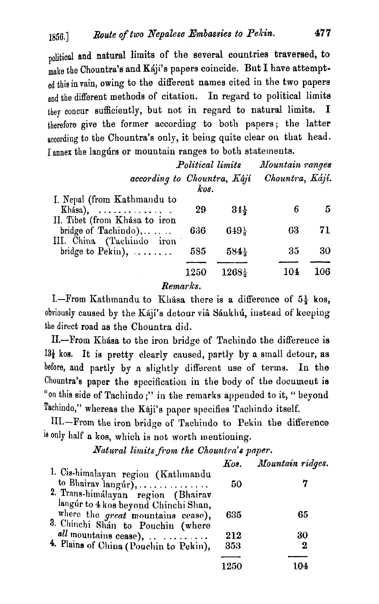political and natural limits of the several countries traversed, to make the Chountra's and Kiji's papers coincide. But I have attempted this in vain, owing to the different names cited in the two papers and the different methods of citation. In regard to political limits they concur sufficiently, but not in regard to natural limits. I therefore give the former according to both papers; the latter according to the Chountra's only, it being quite clear on that head. I annex the langurs or mountain ranges to both statements.

> Political limits Mountain ranges according to Chountra, *Kaji* Chountra, *Káji.* kos.

| I. Nepal (from Kathmandu to<br>Khása), $\ldots \ldots \ldots$ | 29  | $34\frac{1}{2}$          |     | 5   |
|---------------------------------------------------------------|-----|--------------------------|-----|-----|
| II. Tibet (from Khása to iron<br>bridge of Tachindo), $\dots$ | 636 | $649\frac{1}{2}$         | 63- | 71  |
| III. China (Tachindo iron<br>bridge to $Pekin)$ ,             | 585 | $584\frac{1}{2}$         | 35  | 30  |
|                                                               |     | $1250$ $1268\frac{1}{2}$ | 104 | 106 |

Remarks.

1.-From ICathmandu to ICLtBsa there is a difference of **5;** kos, obviously caused by the Kájí's detour via Sánkhú, instead of keeping the direct road as the Chountra did.

II.--From Khasa to the iron bridge of Tachindo the difference is  $13\frac{1}{4}$  kos. It is pretty clearly caused, partly by a small detour, as before, aud partly by **a** slightly different use of terms. In the Chountra's paper the specification in the body of the document ia "on this side of Tachindo;" in the remarks appended to it, " beyond Tachindo," whereas the Kaji's paper specifies Tachindo itself.

111.-From the iron bridge of Tachiudo to Peltin the difference is only half a kos, which is not worth mentioning.

Natural limits from the Chountra's paper.

|                                                                                                                | Kos. | Mountain ridges. |
|----------------------------------------------------------------------------------------------------------------|------|------------------|
| 1. Cis-himalayan region (Kathmandu<br>to Bhairav langur),<br>2. Trans-himálayan region (Bhairav                | 50   | 7                |
| langúr to 4 kos beyond Chinchi Shan,<br>where the great mountains cease),<br>3. Chinchi Shán to Pouchin (where | 635  | 65               |
| $all$ mountains cease),                                                                                        | 212  | 30               |
| 4. Plains of China (Pouchin to Pekin),                                                                         | 353  | 2                |
|                                                                                                                | 1250 | 104              |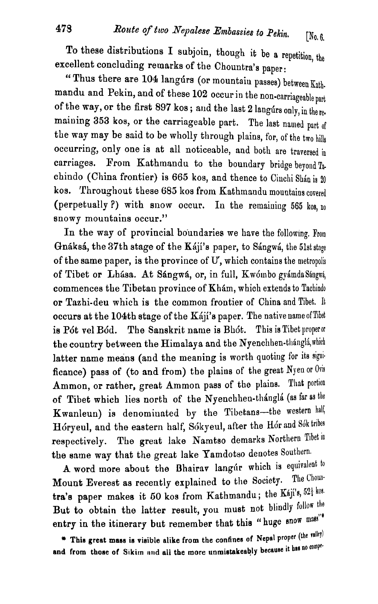To these distributions I subjoin, though it be a repetition, **the**  excellent concluding remarks of the Chountra's paper:

" Thus there are 104 langurs (or mountaiu passes) between Kath. mandu and Pekin, and of these 102 occur in the non-carriageable part of the way, or the first 897 kos; and the last 2 langurs only, in the remaining 353 kos, or the carriageable part. The last named part of the way may be said to be wholly through plains, for, of the two hills occurring, only one is at all noticeable, and botll are traversed **in**  carriages. From Kathmandu to the boundary bridge beyond Tachindo (China frontier) is 665 kos, and thence to Ciachi Shin is **<sup>20</sup>** kos. Throughout these 685 kos from Kathmandu mountains covered (perpetually ?) with snow occur. In the remaining 565 kos, no snowy mountains occur."

In the way of provincial boundaries we have the following, From Gnáksá, the 37th stage of the Káji's paper, to Sángwá, the 51st stage of the same paper, is the province of  $U$ , which contains the metropolis of Tibet or Lhása. At Sángwá, or, in full, Kwómbo gyámda Sángwá, commences the Tibetan province of Kham, which extends to Tachindo or Tazhi-deu which is the common frontier of China and Tibet. It occurs at the 104th stage of the Kaji's paper. The native name of Tibet is Pót vel Bód. The Sanskrit name is Bhót. This is Tibet properor the country between the Himalaya and the Nyenchhen-thangla, which latter name means (and the meaning is worth quoting for its significance) pass of (to and from) the plains of the great Nyen or Oris Ammon, or rather, great Ammon pass of the plains. That portion of Tibet which lies north of the Nyenchhen-thánglá (as far as the Kwanleun) is denominated by the Tibetans-the western half, Hóryeul, and the eastern half, Sókyeul, after the Hór and Sók tribes respectively. The great lake Namtso demarks Northern Tibet in the same way that the great lake Yamdotso denotes Southern.

A word more about the Bhairav langur which is equivalent to contain the Chount Everget as recording a relation of the Society. Mount Everest as recently explained to the Society. tra's paper makes it 50 kos from Kathmandu; the Kaji's, 52<sup>1</sup> kos. But to obtain the latter result, you must not blindly follow the entry in the itinerary but remember that this "huge snow mass"\*

\* This great mass is visible alike from the confines of Nepal proper (the valley) and from those of Sikim and all the more unmistakeably because it has no compe-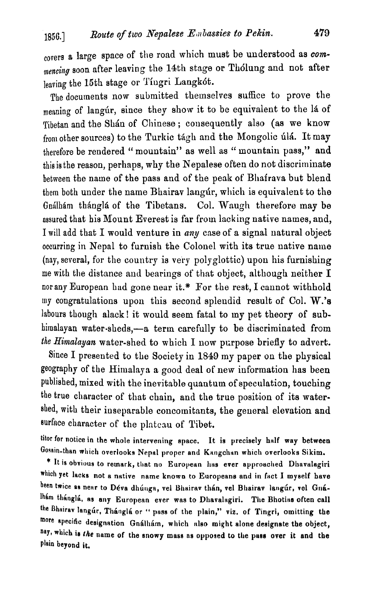covers **s** large space of the road which must be understood as *comlnencing* soon after leaving the **14th** stnge or Th6lung and not after leaving the 15th stage or Tiugri Langkót.

The documents now submitted themselves suffice to prove the meaning of langur, since they show it to be equivalent to the la of Tibetan and the Shan of Chinese; consequently also (as we know from other sources) to the Turkic tágh and the Mongolic úlá. It mav therefore be rendered "mountain" as well as "mountain pass," and this is the reason, perhaps, why the Nepalese often do not discriminate between the name of the pass and of the peak of' Bhairava but blend them both under the name Bhairav langur, which is equivalent to the Gnálhám thánglá of the Tibetans. Col. Waugh therefore may be assured that his Mount Everest is far from lacking native names, and, I will add that I would venture in *any* case of a signal natural object occurring in Nepal to furnish the Colonel with its true native name (nay, several, for the country is very polyglottic) upon his furnishing me with the distance and bearings of that object, although neither I nor any European had gone near it.\* For the rest, I cannot withhold my congratulations upon this second splendid result of Col. W.'s labours though alack! it would seem fatal to my pet theory of subhimalayan water-sheds,-a term carefully to be discriminated from *the* Himalayan water-shed to which I now purpose briefly to advert.

Since I presented to the Society in 1849 my paper on the physical geography of the Himalaya a good deal of new information has been published, mixed with the inevitable quantum of speculation, touching the true character of that chain, and the true position of its watershed, with their inseparable concomitants, the general elevation and surface chnrncter of the plateau of Tibet.

titor for notice in the whole intervening space. It is precisely hnlf way between Gosain-than which overlooks Nepal proper and Kangchan which overlooks Sikim.

\* It is obvious to remark, that no European has ever approached Dhavalagiri which yet lacks not a native name known to Europeans and in fact I myself have been twice as near to Déva dhúnga, vel Bhairav thán, vel Bhairav langúr, vel Gnálhám thánglá, as any European ever was to Dhavalagiri. The Bhotias often call the Bhairav langúr, Thánglá or " pass of the plain," viz. of Tingri, omitting the more specific designation Gnálhám, which also might alone designate the object, nay, which is the name of the snowy mass as opposed to the pass over it and the plain beyond **it.**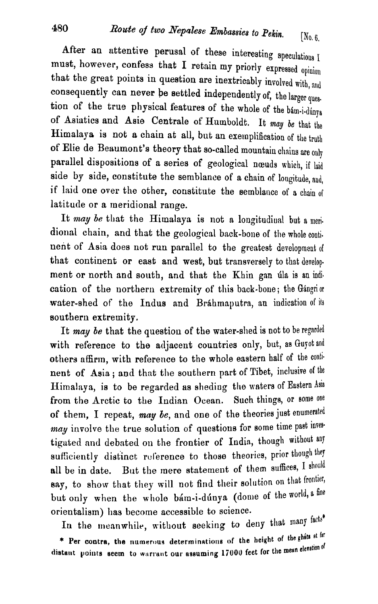After an attentive perusal of these interesting speculations I must, however, confess that I retain my priorly expressed opinion that the great points in question are inextricably involved with, and consequently can never be settled independently of, the larger ques. tion of the true physical features of the whole of the bam-i-dúnya of Asiatics and Asie Centrale of Humboldt. It may be that the Himalaya is not a chain at all, but an exemplification of the truth of Elie de Beaumont's theory that so-called mountain chains are only parallel dispositions of a series of geological nœuds which, if laid side by side, constitute the semblance of a chain of longitude, and, if laid one over the other, constitute the semblance of a chain of latitude or a meridional range.

It may be that the Himalaya is not a longitudinal but a meridional chain, and that the geological back-bone of the whole continent of Asia does not run parallel to the greatest development of that continent or east and west, but transversely to that development or north and south, and that the Khin gan úla is an indication of the northern extremity of this back-bone; the Gángrior water-shed of the Indus and Bráhmaputra, an indication of its southern extremity.

It may be that the question of the water-shed is not to be regarded with reference to the adjacent countries only, but, as Guyot and others affirm, with reference to the whole eastern half of the continent of Asia; and that the southern part of Tibet, inclusive of the Himalaya, is to be regarded as sheding the waters of Eastern Asia from the Arctic to the Indian Ocean. Such things, or some one of them, I repeat, may be, and one of the theories just enumerated may involve the true solution of questions for some time past investigated and debated on the frontier of India, though without any sufficiently distinct reference to those theories, prior though they But the mere statement of them suffices, I should all be in date. say, to show that they will not find their solution on that frontier, but only when the whole bam-i-dunya (dome of the world, a fine orientalism) has become accessible to science.

In the meanwhile, without seeking to deny that many facts\* \* Per contra, the numerous determinations of the height of the ghats at far distant points seem to warrant our assuming 17000 feet for the mean eleration of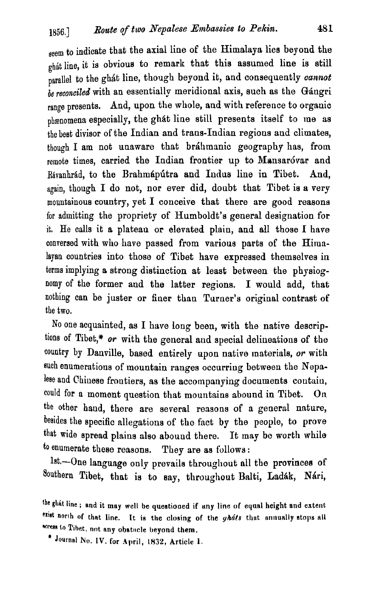seem to indicate that the axial line of the Himalaya lies beyond the ghát line, it is obvious to remark that this assumed line is still parallel to the ghát line, though beyond it, and consequently *cannot be reconciled* with an essentially meridional axis, such as the Gángri range presents. And, upon the whole, and with reference to organic phænomena especially, the ghát line still presents itself to me as the best divisor of the Indian and trans-Indian regions and climates, though I am not unaware that bráhmanic geography has, from remote times, carried the Indian frontier up to Mansaróvar and Rávanhrád, to the Brahmápútra and Indus line in Tibet. And, again, though I do not, nor ever did, doubt that Tibet is a very  $m$ ountainous country, yet I conceive that there are good reasons for admitting the propriety of Humboldt's general designation for it, He calls it a plateau or elevated plain, and all those I have conversed with who have passed from various parts of the Himalayan countries into those of Tibet have expressed themselves in terms implying a strong distinction at least between the physiognomy of the former and the latter regions. I would add, that nothing can be juster or finer than Turner's original contrast of tbe two.

No one acquainted, as I have long been, with the native descriptions of Tibet,\* or with the general and special delineations of the country by Danville, based entirely upon native materials, *or* with such enumerations of mountain ranges occurring between the Nepalese and Chiuese frontiers, as the accompanying documents coutaiu, could for a moment question that mountains abound in Tibet. On the other haud, there are several reasons of a general nature, besides the specific allegations of the fact by the people, to prove that wide spread plains also abound there. It may bo worth while **to** enumerate these reasons. They are as follows :

lst.--One language only prevails throughout all the provinces of Southern Tibet, that is to say, throughout Balti, Ladák, Nári,

the ghat line; and it may well be questioned if any line of equal height and extent  $^{\text{exist north of that line.}}$  It is the **closing of** the *yhats* that annually stops all **w~m lo Tihat, nut nny ohet~~cle beyond them.** 

\* Journal No. IV. for April, 1832, Article I.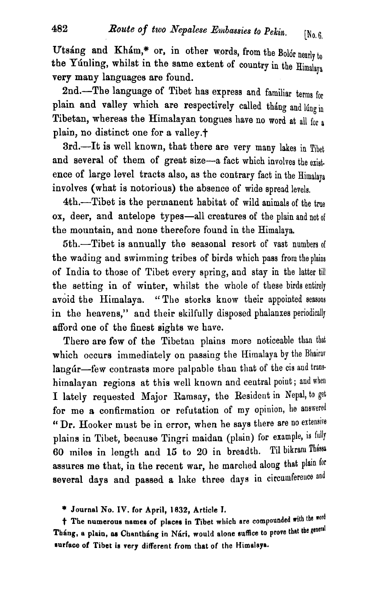Utsáng and Khám,\* or, in other words, from the Bolor nearly  $t_0$ the Yunling, whilst in the same extent of country in the  $\text{Himal}_\text{Rys}$ very many languages are found.

2nd.-The language of Tibet has express and familiar terms for plain and valley which are respectively called tháng and lúng in Tibetan, whereas the Himalayan tongues have no word at all for a plain, no distinct one for a valley.<sup>†</sup>

3rd.-It is well known, that there are very many lakes in Tibet and several of them of great size-a fact which involves the exist. ence of large level tracts also, as the contrary fact in the Himalaya involves (whet is notorious) the absence of wide spread levels.

4th.-Tibet is the permanent habitat of wild animals of the true ox, deer, and antelope types-all creatures of the plain and not of the mountain, and none therefore found in the Himalaya.

5th.-Tibet is annually the seasonal resort of vast numbers of the wading and swimming tribes of birds which pass from the plains of India to those of Tibet every spring, and stay in the latter till the setting in of winter, whilst the whole of these birds entirely avoid the Himalaya. "The storks know their appointed seasons in the heavens," and their skilfully disposed phalanxes periodically afford one of the finest sights we have.

There are few of the Tibetan plains more noticeable than that which occurs immediately on passing the Himalaya by the Bhairav langúr-few contrasts more palpable than that of the cis and transhimalay an regions at this well known and central point; and when **1** lately requested Major Rammy, the Resident in Nepal, to get for me a confirmation or refutation of my opinion, he answered " Dr. Hooker must be in error, when he says there are no extensive plains in Tibet, because Tingri maidan (plain) for example, is fully 60 miles in length and 15 to 20 in breadth. Til bikram Thássa assures me that, in the recent war, he marched along that plain for several days and passed a lake three days in circumference and

\* **Journal No. IV. for April, 1832, Article I.** 

t The numerous names of places in Tibet which are compounded with the word Tháng, a plain, as Chantháng in Nári, would alone suffice to prove that the general **ourface of Tibet is very different from that of the Himalaya.**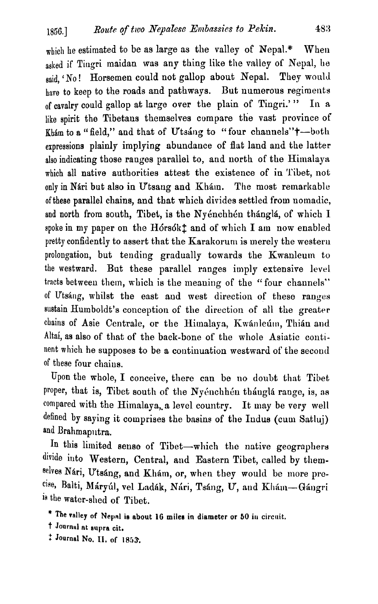which he estimated to be as large as the valley of Nepal.\* When asked if Tingri maidan was any thing like the valley of Nepal, he said, 'No! Horsemen could not gallop about Nepal. They would have to keep to the roads and pathways. But numerous regiments of cavalry could gallop at large over the plain of Tingri.' " In **<sup>n</sup>** like spirit the Tibetaus themselves compare the vast province of Kham to a "field," and that of Utsang to "four channels" $\dagger$ -both expressions plainly implying abundance of flat land and the latter also indicating those ranges parallel to, and north of the Himalaya which all native authorities attest the existence of in Tibet, not only in Nári but also in Utsang and Khám. The most remarkable of these parallel chains, and that which divides settled from nomadic, and north from south, Tibet, is the Nyénchhén thánglá, of which I spoke in my paper on the Hórsók $\ddagger$  and of which I am now enabled pretty confidently to assert that the Karakorum is merely the western prolongation, but tending gradually towards the Kwanleum to the westward. But these parallel ranges imply extensive level tracts between them, which is the meaning of the "four channels" of Utsáng, whilst the east and west direction of these ranges sustain Humboldt's conception of the direction of all the greater chains of Asie Centrale, or the Himalaya, Kwanleum, Thian and Altai, as also of that of the back-bone of the whole Asiatic continent which he supposes to be a continuation westward of the second of these four chaius.

Upon the whole, I conceive, there can be no doubt that Tibet proper, that is, Tibet south of the Nyénchhén thánglá range, is, as compared with the Himalaya,,a level country. It **may** be very well defined by saying it comprises the basins of the Indus (cum Satluj) and Brahmaputra.

In this limited sense of Tibet-which the native geographers divide into Western, Central, and Eastern Tibet, called by themselves Nári, Utsáng, and Khám, or, when they would be more pro-<sup>cise,</sup> Balti, Máryúl, vel Ladák, Nári, Tsáng, U, and Khám--Gángri la the water-shed of Tibet.

- \* The valley of Nepal is about 16 miles in diameter or 50 in circuit.
- t **Journul at supra cit.**
- : **Journal No. 11, of I 853.**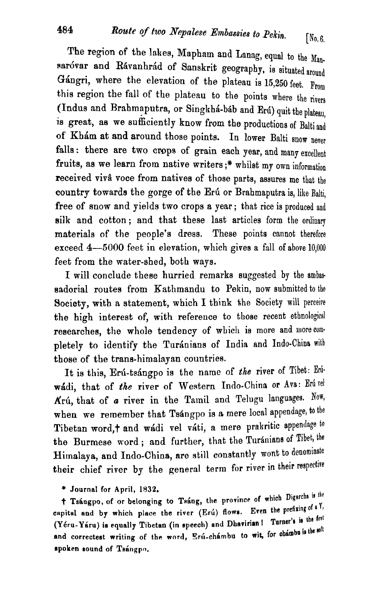The region of the lakes, Mapham and Lanag, equal to the Mansaróvar and Rávanhrád of Sanskrit geography, is situated around Gángri, where the elevation of the plateau is 15,250 feet. From this region the fall of the plateau to the points where the rivers (Indus and Brahmaputra, or Singkhá-báb and Erú) quit the plateau. is great, as we sufficiently know from the productions of Balti and of Kham at and around those points. In lower Balti snow never falls: there are two crops of grain each year, and many excellent fruits, as we learn from native writers ;\* whilst my own information received vivâ voce from natives of those parts, assures me that the country towards the gorge of the Erú or Brahmaputra is, like Balti, free of snow and yields two crops a year; that rice is produced and silk and cotton; and that these last articles form the ordinary materials of the people's dress. These points cannot therefore exceed **4-5000** feet in elevation, which gives a fall of above 10,000 feet from the water-shed, both ways.

I will conclude these hurried remarks suggested by the ambas sadorial routes from Kathmandu to Pekin, now submitted to the Society, with **a** statement, which I think the Society will perceive the high interest of, with reference to those recent ethnological researches, the whole tendency of which is more and more completely to identify the Turánians of India and Indo-China with those of the trans-himalayan countries.

It is this, Erú-tsángpo is the name of the river of Tibet: Erúwadi, that of the river of Western Indo-China or Ava: Eru rel Krú, that of *a* river in the Tamil and Telugu languages. Now, when we remember that Tsángpo is a mere local appendage, to the Tibetan word,+ and wádi vel váti, a mere prakritic appendage to the Burmese word; and further, that the Turánians of Tibet, the Himalaya, and Indo-China, are still constantly wont to denominate their chief river by the general term for river in their respective

\* **Journal for April, 1832.** 

f **Tsiagpo, of or belonging to T&op province of wliich Difarcha i'** lhe capital and by which place the river (Erú) flows. Even the prefixing of a Y, (Yéru-Yáru) is equally Tibetan (in speech) and Dhavirian I Turner's is the first and correctest writing of the word, Eru-chambu to wit, for chambu is the soft spoken sound of Tsángpo.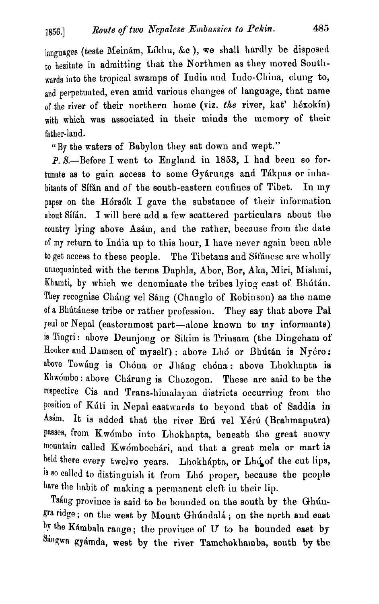languages (teste Meinám, Líkhu, &c ), we shall hardly be disposed to hesitate in admitting that the Northmen as they moved Southwards into the tropical swamps of India and Indo-China, clung to, and perpetuated, even amid various changes of language, that name of the river of their northern home (viz. the river, kat' héxokín) with which was associated in their minds the memory of their father-land.

"By tbe waters of Babylon they sat down and wept."

P. S.-Before I went to England in 1853, I had been so fortunate as to gain access to some Gyárungs and Tákpas or inhabitants of Sifán and of the south-eastern confines of Tibet. In my paper on the Hórsók I gave the substance of their information about Sifán. I will here add a few scattered particulars about the country lying above Asám, and the rather, because from the date of my return to India up to this hour, I have never again been able to get access to these people. The Tibetans and Sifanese are wholly unacquainted with the terms Daphla, Abor, Bor, Aka, Miri, Mishmi, Khamti, by which we denominate the tribes lying east of Bhútán. They recognise Cháng vel Sáng (Changlo of Robinson) as the name of a Bhútánese tribe or rather profession. They say that above Pal jeul or Nepal (easternmost part-alone known to my informants) is Tingri: above Deunjong or Sikim is Trinsam (the Dingcham of Hooker and Damsen of myself) : above Lhó or Bhútán is Nyéro: above Towáng is Chóna or Jháng chóna: above Lhokhapta is Khwómbo: above Chárung is Chozogon. These are said to be the respective Cis and Trans-himalayau districts occurring from the position of Kúti in Nepal eastwards to beyond that of Saddia in Asám. It is added that the river Erú vel Yérú (Brahmaputra) passes, from Kwómbo into Lhokhapta, beneath the great snowy mountain called Kwómbochári, and that a great mela or mart is held there every twelve years. Lhokhapta, or Lhoof the cut lips, is **80** called to diatinguiah it from Lh6 proper, because the people bare the habit of making a permanent cleft in their lip.

Tsáng province is said to be bounded on the south by the Ghún-Rra ridge ; **on** the west by Mount Glilindnli ; on the north and **onst**  the Khmbaln range ; the province of *U* to be bounded **eaet** by  $84$ ngwa gyámda, west by the river Tamchokhamba, south by the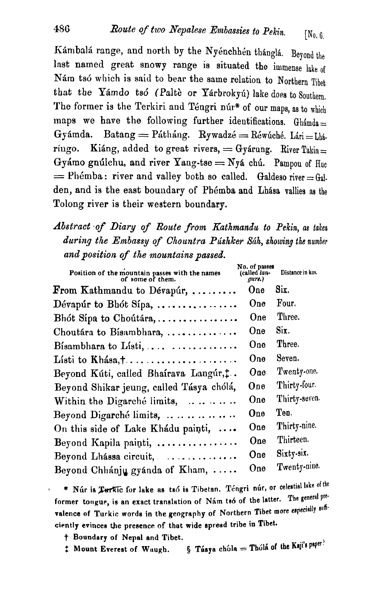Kámbalá range, and north by the Nyénchhén thánglá. Beyond the last named great snowy range is situated the immense lake of Nám tsó which is said to bear the same relation to Northern Tibet that the Yámdo tsó (Paltè or Yárbrokyú) lake does to Southern, The former is the Terkiri and Téngri núr\* of our maps, as to which maps we have the following further identifications. Ghamda= Gyámda. Batang = Pátháng. Rywadzé = Réwúché. Lári = Lhá. ríngo. Kiáng, added to great rivers,  $=$  Gyárung. River Takin = Gyámo gnúlchu, and river Yang-tse = Nyá chú. Pampou of  $H_{\text{ue}}$  $=$  Phémba: river and valley both so called. Galdeso river = Gal. den, and is the east boundary of Phémba and Lhása vallies as the Tolong river is their western boundary.

### *Abst~act .of Diary of Route from Kathmandu to* Pekin, *as* taken *during the Embassy of Chountra Plishker Sdh,* **showing** the number *and position of the mountains passed.*

| Position of the mountain passes with the names<br>of some of them. | No. of passes<br>(called lan-<br>gurs.) | Distance in kos. |
|--------------------------------------------------------------------|-----------------------------------------|------------------|
| $\mathbf F$ rom Kathmandu to Dévapúr,                              | One                                     | Six.             |
| Dévapúr to Bhót Sípa,                                              | One                                     | Four.            |
| Bhót Sípa to Choútára,                                             | One                                     | Three.           |
| Choutára to Bísambhara,                                            | One                                     | Six.             |
| Bisambhara to Listi, $\ldots$ $\ldots$ $\ldots$                    | One                                     | Three.           |
| Listi to Khasa, $\dots \dots \dots \dots \dots \dots \dots$        | One                                     | Seven.           |
| Beyond Kúti, called Bhairava Langúr, t.                            | One                                     | Twenty-one.      |
| Beyond Shikar jeung, called Tásya chólá,                           | One                                     | Thirty-four.     |
| Within the Digarché limits, $\dots \dots$                          | One                                     | Thirty-seven.    |
| Beyond Digarché limits,                                            | One                                     | Ten.             |
| On this side of Lake Khadu painti,                                 | One                                     | Thirty-nine.     |
| Beyond Kapila painti,                                              | One                                     | Thirteen.        |
| Beyond Lhassa circuit,                                             | One                                     | Sixty-six.       |
| Beyond Chhánju gyánda of Kham,                                     | One                                     | Twenty-nine.     |

\* Núr is Perkic for lake as tsó is Tibetan. Téngri núr, or celestial lake of the former tongue, is an exact translation of Nám tsó of the latter. The general prevalence of Turkic words in the geography of Northern Tibet more especially suffi**cirntly evincea the presence of that wide spread tribe in Tibet.** 

- 
- t **Boundary of Nepal end Tibet.**   $\S$  Tásya chóla = Thólá of the Kaji's paper?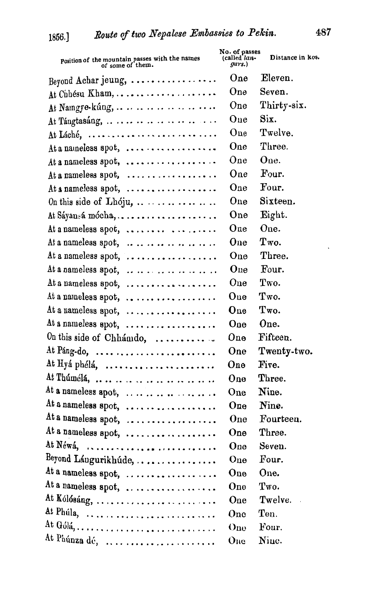| Position of the mountain passes with the names<br>of some of them. | No. of passes<br>(called lan-<br>gurs.) | Distance in kos. |
|--------------------------------------------------------------------|-----------------------------------------|------------------|
| Beyond Achar jeung,                                                | One                                     | Eleven.          |
| At Chhésu Kham,                                                    | One                                     | Seven.           |
| At Namgye-kúng,                                                    | One                                     | Thirty-six.      |
| At Tángtasáng,                                                     | One                                     | Six.             |
| At Láché,                                                          | One                                     | Twelve.          |
| At a nameless spot,                                                | One                                     | Three.           |
| At a nameless spot,                                                | One                                     | One.             |
| At a nameless spot,                                                | One                                     | Four.            |
| At a nameless spot, $\dots \dots \dots \dots \dots$                | One                                     | Four.            |
| On this side of $Lh$ oju,                                          | One                                     | Sixteen.         |
|                                                                    | One                                     | Eight.           |
| At a nameless spot, $\dots \dots \dots$                            | One                                     | One.             |
| At a nameless spot, $\dots \dots \dots \dots \dots$                | One                                     | Two.             |
| At a nameless spot,                                                | One                                     | Three.           |
| At a nameless spot,                                                | One                                     | Four.            |
| At a nameless spot, $\dots \dots \dots \dots \dots$                | One                                     | Two.             |
| At a nameless spot, $\dots \dots \dots \dots \dots$                | $\bf{One}$                              | Two.             |
| At a nameless spot, $\dots \dots \dots \dots \dots$                | $\mathbf{O}$ ne                         | Two.             |
| At a nameless spot,                                                | One                                     | One.             |
| On this side of Chhámdo,                                           | One                                     | Fifteen.         |
| At Páng-do,                                                        | One                                     | Twenty-two.      |
| At Hyá phélá,                                                      | One                                     | Five.            |
| At Thúmélá,                                                        | One                                     | Three.           |
| At a nameless spot,                                                | One                                     | Nine.            |
| At a nameless spot,                                                | One                                     | Nine.            |
| At a nameless spot,                                                | One                                     | Fourteen.        |
| At a nameless spot,                                                | One                                     | Three.           |
| At Néwá,                                                           | One                                     | Seven.           |
| Beyond Lángurikhúde,                                               | One                                     | Four.            |
| At a nameless spot, $\dots \dots \dots \dots \dots$                | One                                     | One.             |
| At a nameless spot,                                                | One                                     | Two.             |
| At Kólósáng,                                                       | One                                     | Twelve.          |
| At Phúla,                                                          | One                                     | Ten.             |
|                                                                    | One                                     | Four.            |
| At Phúnza dé,                                                      | One                                     | Nine.            |

 $\ddot{\phantom{0}}$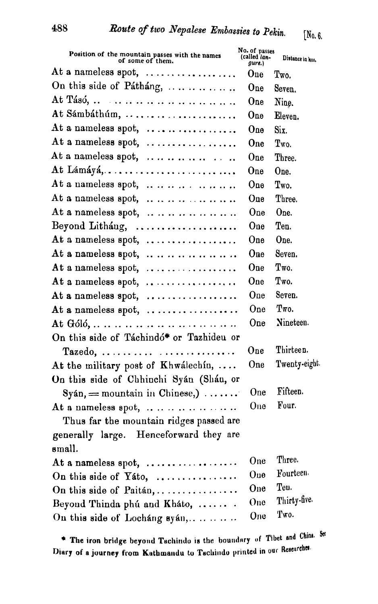| Position of the mountain passes with the names<br>of some of them. | No. of passes<br>(called lan-<br>gurs.) | Distance in hos. |
|--------------------------------------------------------------------|-----------------------------------------|------------------|
| At a nameless spot,                                                | One                                     | Two.             |
| On this side of Pátháng,                                           | One                                     | Seven.           |
| At Tásó,                                                           | One                                     | Nine.            |
| At Sámbáthúm,                                                      | One                                     | Eleven.          |
| At a nameless spot, $\dots \dots \dots \dots \dots$                | One                                     | Six.             |
| At a nameless spot, $\dots \dots \dots \dots \dots$                | One                                     | Two.             |
| At a nameless spot,                                                | One                                     | Three.           |
| At Lámáyá,                                                         | One                                     | One.             |
| At a nameless spot, $\dots \dots \dots \dots \dots$                | One                                     | Two.             |
| At a nameless spot, $\dots \dots \dots \dots \dots$                | One                                     | Three.           |
| At a nameless spot,                                                | One                                     | One.             |
| Beyond Litháng,                                                    | One                                     | Ten.             |
| At a nameless spot, $\ldots$                                       | One                                     | One.             |
| At a nameless spot, $\dots \dots \dots \dots \dots \dots$          | One                                     | Seven.           |
| At a nameless spot, $\dots \dots \dots \dots \dots$                | One                                     | Two.             |
| At a nameless spot, $\dots \dots \dots \dots \dots$                | One                                     | Two.             |
| At a nameless spot, $\dots \dots \dots \dots \dots$                | One                                     | Seven.           |
| At a nameless spot,                                                | One                                     | Two.             |
|                                                                    | One                                     | Nineteen.        |
| On this side of Táchindó* or Tazhideu or                           |                                         |                  |
| Tazedo,                                                            | One                                     | Thirteen.        |
| At the military post of Khwalechin, $\ldots$                       | One                                     | Twenty-eight.    |
| On this side of Chhinchi Syán (Shán, or                            |                                         |                  |
| $\text{Syán} = \text{mountain in Chinese}$ ,                       | One                                     | Fifteen.         |
| At a nameless spot,                                                | One                                     | Four.            |
| Thus far the mountain ridges passed are                            |                                         |                  |
| generally large. Henceforward they are                             |                                         |                  |
| small.                                                             |                                         |                  |
| At a nameless spot,                                                | One                                     | Three.           |
| On this side of Yato,                                              | One                                     | Fourteen.        |
| On this side of Paitán,                                            | One                                     | Teu.             |
| Beyond Thinda phú and Kháto,                                       | One                                     | Thirty-five.     |
| On this side of Lochang syan,                                      | One                                     | Two.             |

The iron bridge beyond Tachindo is the boundary of Tibet and China. See  $\frac{1}{2}$  Diary of a journey from Kathmandu to Tachindo printed in our Researches.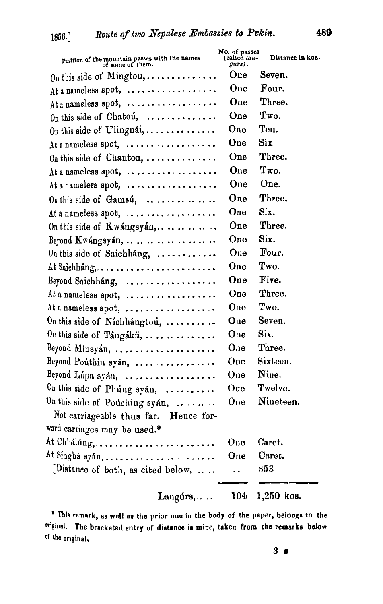| Position of the mountain passes with the names<br>of some of them. | No. of passes<br>(called <i>lan-</i><br>yurs). | Distance in kos. |
|--------------------------------------------------------------------|------------------------------------------------|------------------|
| On this side of Mingtou,                                           | One                                            | Seven.           |
| At a nameless spot,                                                | One                                            | Four.            |
| At a nameless spot,                                                | One                                            | Three.           |
| On this side of Chatou,                                            | One                                            | Two.             |
| On this side of Ulingnái,                                          | One                                            | Ten.             |
| At a nameless spot, $\ldots \ldots \ldots \ldots \ldots$           | One                                            | Six              |
| On this side of Chantou, $\ldots \ldots \ldots \ldots$             | One                                            | Three.           |
| At a nameless spot,                                                | One                                            | Two.             |
| At a nameless spot,                                                | One                                            | One.             |
| On this side of Gamsú,                                             | One                                            | Three.           |
| At a nameless spot,                                                | One                                            | Six.             |
| On this side of $Kw$ ángsyán,                                      | One                                            | Three.           |
| Beyond Kwángsyán,                                                  | One                                            | Six.             |
| On this side of Saichhang,                                         | One                                            | Four.            |
|                                                                    | One                                            | Two.             |
| Beyond Saichbang, $\ldots \ldots \ldots \ldots \ldots$             | One                                            | Five.            |
| At a nameless spot, $\dots \dots \dots \dots \dots$                | One                                            | Three.           |
| At a nameless spot,                                                | One                                            | Two.             |
| On this side of Nichhángtoú,                                       | One                                            | Seven.           |
| On this side of Tangakü, $\ldots \ldots \ldots \ldots$             | One                                            | Six.             |
| Beyond Minsyán,                                                    | One                                            | Three.           |
| Beyond Poúthín syán,                                               | One                                            | Sixteen.         |
| Beyond Lúpa syán,                                                  | One                                            | Nine.            |
| On this side of Phúng syán, $\dots\dots\dots$                      | One                                            | Twelve.          |
| On this side of Pouching syan,                                     | One                                            | Nineteen.        |
| Not carriageable thus far.<br>Hence for-                           |                                                |                  |
| ward carriages may be used.*                                       |                                                |                  |
|                                                                    | One                                            | Caret.           |
|                                                                    | One                                            | Caret.           |
| [Distance of both, as cited below,                                 |                                                | 353              |
| $Language 1$                                                       | 104                                            | 1,250 kos.       |

Lungurs,... Low 1,200 Ros.<br><sup>\*</sup> This remark, as well as the prior one in the body of the paper, belongs to the **onginnl.** The **bracketed entry of distance in minr, taken from tile remarks below of the original.**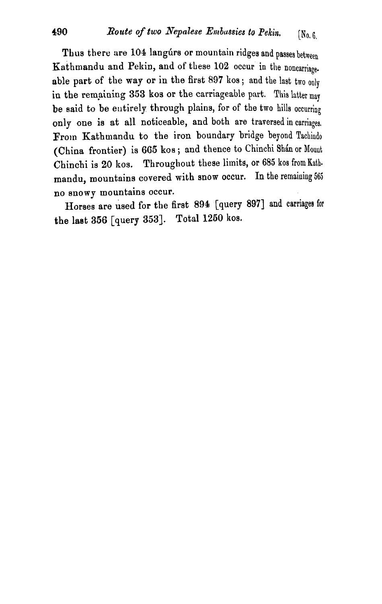Thus there are 104 langurs or mountain ridges and passes between Kathmandu and Pekin, and of these 102 occur in the noncarriage. able part of the way or in the first 897 kos; and the last two only in the remaining 353 kos or the carriageable part. This latter may be said to be eutirely through plains, for of the **two** hills occurring only one **ia** at all noticeable, and both are traversed in carriages, From Kathmandu to the iron boundary bridge beyond Tachindo (China frontier) is 665 kos; and thence to Chinchi Shan or Mount Chinchi is 20 kos. Throughout these limits, or 685 kos from Kathmandu, mountains covered with snow occur. In the remaining 565 no snowy mountains occur.

Horses are used for the first 894 [query 897] and carriages for the last 356 [query 353]. Total 1250 kos.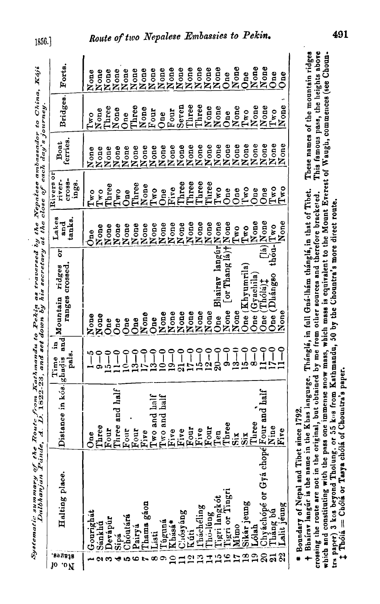| Route from Kathmandu to Pekin as traversed by the Nepalese ambassador to China, Kaji<br>e, $\Delta$ . 1. 1822-23, and set down by his secretary at the close of each day's journey.<br>ystematic summary of the | $\sum_{i=1}^n \min_{i=1}^n M_0$ untain ridges or Lakes $\left  \begin{array}{cc} \text{Riveres of} \\ \text{meas} \end{array} \right $ Roat $\left  \begin{array}{cc} \text{Riseers of} \\ \text{Rost} \end{array} \right $ |
|-----------------------------------------------------------------------------------------------------------------------------------------------------------------------------------------------------------------|-----------------------------------------------------------------------------------------------------------------------------------------------------------------------------------------------------------------------------|

 $1856.$ 

|                        |                                                                                                                                                                                                                                                                                                                                                                                                                                                               |                                        |                     | "hould by hope that is a controlly at the close of each each of contract. |                                                                             |                                        |                                              |                                                |                                              |
|------------------------|---------------------------------------------------------------------------------------------------------------------------------------------------------------------------------------------------------------------------------------------------------------------------------------------------------------------------------------------------------------------------------------------------------------------------------------------------------------|----------------------------------------|---------------------|---------------------------------------------------------------------------|-----------------------------------------------------------------------------|----------------------------------------|----------------------------------------------|------------------------------------------------|----------------------------------------------|
| នៃមន្ត្រា<br>J0<br>.oV | Halting place.                                                                                                                                                                                                                                                                                                                                                                                                                                                | stance in kós ghadis and Mountain<br>ة | Ę.<br>pals.<br>Time | ㅎ<br>untain ridges<br>ranges crossed.                                     | Lakes<br>tanks<br>and                                                       | Rivers or<br>cross-<br>river-<br>ings. | Boat<br>ferries.                             | Bridges.                                       | Forts.                                       |
|                        | Gourighat                                                                                                                                                                                                                                                                                                                                                                                                                                                     |                                        |                     |                                                                           | One                                                                         | $T_{\mathbf{w}\mathbf{o}}$             |                                              | T <sub>WO</sub>                                | None                                         |
|                        | Sánkhá                                                                                                                                                                                                                                                                                                                                                                                                                                                        | One<br>Three                           | $\frac{1}{9} - 0$   | $\frac{N}{N}$ one                                                         |                                                                             | T <sub>w</sub>                         |                                              |                                                |                                              |
|                        |                                                                                                                                                                                                                                                                                                                                                                                                                                                               |                                        |                     | One                                                                       | None<br>None                                                                | Three                                  |                                              | None<br>Three                                  |                                              |
|                        | Sipa                                                                                                                                                                                                                                                                                                                                                                                                                                                          |                                        |                     | One                                                                       | None                                                                        | $Tw$ o                                 |                                              | None                                           |                                              |
|                        | $\begin{tabular}{ l l l } \hline \hline \multicolumn{1}{ l }{\hline \multicolumn{1}{ l }{\hline \multicolumn{1}{ l }{\hline \multicolumn{1}{ l }{\hline \multicolumn{1}{ l }{\hline \multicolumn{1}{ l }{\hline \multicolumn{1}{ l }{\hline \multicolumn{1}{ l }{\hline \multicolumn{1}{ l }{\hline \multicolumn{1}{ l }{\hline \multicolumn{1}{ l }{\hline \multicolumn{1}{ l }{\hline \multicolumn{1}{ l }{\hline \multicolumn{1}{ l }{\hline \multicolumn$ |                                        |                     | One                                                                       | None                                                                        | One                                    | None<br>None<br>None<br>None<br>None<br>None | One                                            | None<br>None<br>None<br>None<br>None<br>None |
|                        | Pairya                                                                                                                                                                                                                                                                                                                                                                                                                                                        |                                        |                     | One                                                                       | None                                                                        | Three                                  |                                              | Three                                          |                                              |
|                        | Thama gáon                                                                                                                                                                                                                                                                                                                                                                                                                                                    |                                        |                     | None<br>One                                                               | None                                                                        | None                                   | None                                         | None<br>Four                                   |                                              |
| œ                      | Listi                                                                                                                                                                                                                                                                                                                                                                                                                                                         |                                        |                     |                                                                           | None                                                                        | Two                                    | None<br>None                                 |                                                |                                              |
|                        |                                                                                                                                                                                                                                                                                                                                                                                                                                                               |                                        |                     | None<br>None                                                              | None                                                                        |                                        |                                              | One                                            | None                                         |
|                        | Tuguná<br>Khásá*                                                                                                                                                                                                                                                                                                                                                                                                                                              |                                        | $\frac{19-0}{21-0}$ |                                                                           | None<br>None<br>None                                                        | One<br>Five<br>Three                   | None                                         | Four                                           | None                                         |
|                        |                                                                                                                                                                                                                                                                                                                                                                                                                                                               |                                        |                     | None                                                                      |                                                                             |                                        | None                                         | Seven                                          | None                                         |
|                        |                                                                                                                                                                                                                                                                                                                                                                                                                                                               |                                        |                     | None<br>None                                                              |                                                                             | Three<br>Three                         | None                                         | Three<br>Three                                 | None                                         |
|                        |                                                                                                                                                                                                                                                                                                                                                                                                                                                               |                                        |                     |                                                                           | None                                                                        |                                        | None                                         |                                                | None<br>None<br>None                         |
|                        |                                                                                                                                                                                                                                                                                                                                                                                                                                                               |                                        | $\frac{0}{2}$       | None<br>Bhairay langur None<br>None                                       |                                                                             | Three                                  |                                              |                                                |                                              |
|                        |                                                                                                                                                                                                                                                                                                                                                                                                                                                               |                                        |                     | One                                                                       |                                                                             | $T_{\mathbf{w}\mathbf{0}}$             | None<br>None<br>None                         | None<br>None                                   |                                              |
|                        |                                                                                                                                                                                                                                                                                                                                                                                                                                                               |                                        |                     | [or Thang la)+ None<br>None                                               |                                                                             | One                                    |                                              | One                                            | $\mathsf{One}$                               |
|                        |                                                                                                                                                                                                                                                                                                                                                                                                                                                               |                                        | J                   | None                                                                      |                                                                             | $\mathbf{0}_{\mathbf{ne}}$             |                                              |                                                | None                                         |
| $\frac{2}{1}$          |                                                                                                                                                                                                                                                                                                                                                                                                                                                               |                                        |                     | One $(Khyumrila)$                                                         | Two<br>Lyone<br>None                                                        | $\Gamma^{\rm wO}$                      | None<br>None                                 | $\frac{\text{None}}{\text{T} \times \text{o}}$ | One                                          |
|                        |                                                                                                                                                                                                                                                                                                                                                                                                                                                               |                                        |                     | One (Gyachila)                                                            |                                                                             | One                                    | None                                         | None                                           | None                                         |
|                        |                                                                                                                                                                                                                                                                                                                                                                                                                                                               |                                        | ို                  | Tholajt<br>One (                                                          | $\begin{array}{c}\n\text{[Is]} \text{None} \\ \text{thou-Two}\n\end{array}$ | One                                    |                                              | None                                           | None                                         |
| $\overline{a}$         | Tháng bú<br>Lalit jéung                                                                                                                                                                                                                                                                                                                                                                                                                                       |                                        | $\int$              | (Dhángso<br>One (                                                         |                                                                             | Two<br>Two                             | None<br>None<br>None                         | Two                                            | One                                          |
|                        |                                                                                                                                                                                                                                                                                                                                                                                                                                                               | Уe<br>Ë                                | ို                  | None                                                                      | None                                                                        |                                        |                                              | None                                           | One                                          |
|                        |                                                                                                                                                                                                                                                                                                                                                                                                                                                               | 550                                    |                     |                                                                           |                                                                             |                                        |                                              |                                                |                                              |

Route of two Nepalese Embassies to Pekin.

\* Boundary of Nepal and libet since 1792.

These names of the mountain ridges This famous pass, the heights above which and constituting with the pass one immense snow mass, which mass is equivalent to the Mount Everest of Waugh, commences (see Choun-+ Bhairsv langur is the name in the Khas language. Thánglá, in full Gná-lhám thánglá, in that of Tibet. crossing the route are not in the original, but obtained by me from other sources and therefore bracketed. tra paper) 3 kos beyond Tholung, or 55 kos from Kathmandu, 50 by the Chountra's more direct route. I Thólá = Chólá or Tasya chólá of Chountra's paper.

491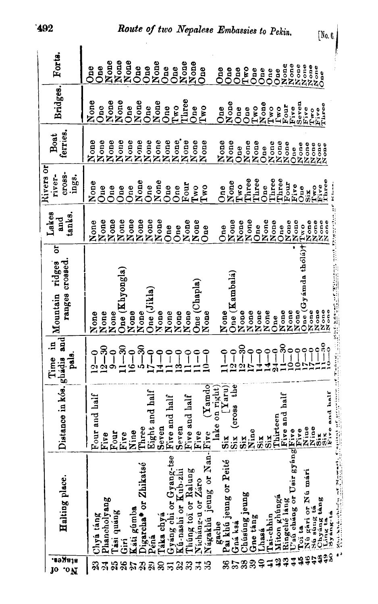| <b>BORNJA</b><br><b>10 ON</b> | Halting place.                                                                                                                                                                                                                                      | Distance in kós, ghádis and Mountain                                                                                          | ₽.<br>pals.<br>Time                           | 5<br>crossed.<br>ridges    | Lakes<br>tanks.<br>and                                   | Rivers or<br>CT08S-<br>river-<br>ings. | Boat<br>ferries.                      | Bridges.                                     | Forta.                               |
|-------------------------------|-----------------------------------------------------------------------------------------------------------------------------------------------------------------------------------------------------------------------------------------------------|-------------------------------------------------------------------------------------------------------------------------------|-----------------------------------------------|----------------------------|----------------------------------------------------------|----------------------------------------|---------------------------------------|----------------------------------------------|--------------------------------------|
| R                             | Chya tang                                                                                                                                                                                                                                           | r and half<br>Εoη                                                                                                             | $2 - 0$                                       | None                       |                                                          | None                                   |                                       | None<br>One                                  | <b>One</b>                           |
| 21                            |                                                                                                                                                                                                                                                     | Five                                                                                                                          |                                               | None                       |                                                          | One                                    |                                       |                                              | $\mathbf{a}$                         |
| 25                            | Phancholyang<br>Tási quang                                                                                                                                                                                                                          | $_{\rm Fou}$                                                                                                                  | $\frac{12-30}{9-0}$                           | None                       | None<br>None<br>None<br>None<br>None                     | One                                    |                                       | $\frac{None}{None}$                          | None<br>None<br>One                  |
| 26                            | Giri                                                                                                                                                                                                                                                | Five                                                                                                                          |                                               | One (Khyongla)             |                                                          | One                                    |                                       |                                              |                                      |
| 27                            | Káti gúmba                                                                                                                                                                                                                                          | Nine                                                                                                                          | $\begin{array}{c} -30 \\ -1 \end{array}$<br>७ | None<br>None               |                                                          | One                                    |                                       |                                              |                                      |
|                               | Digarcha* or Zhikatsé                                                                                                                                                                                                                               |                                                                                                                               | ှိ<br>۱Ò                                      |                            |                                                          | None                                   |                                       | None                                         |                                      |
| 29<br>29                      | Péná                                                                                                                                                                                                                                                | Three<br>Eight and half                                                                                                       | $\overline{\phantom{a}}$                      | One (Jikla)                | $\begin{array}{c}\nN one \\ N one \\ N one\n\end{array}$ | One                                    |                                       | One                                          | One                                  |
| $\boldsymbol{\mathcal{E}}$    | Táka chyá                                                                                                                                                                                                                                           |                                                                                                                               |                                               | None<br>None               |                                                          | None<br>One                            |                                       | None                                         | None<br>One                          |
| ಸ                             | Gyáng chi or Gyang-tse                                                                                                                                                                                                                              | Seven<br>Five and half                                                                                                        |                                               |                            | One                                                      |                                        |                                       | $\mathbf{O}$ ne                              |                                      |
| 32                            | Ku-nashi or Kub-zhi                                                                                                                                                                                                                                 | en<br>Sev.                                                                                                                    | ങ                                             | None                       | One                                                      | One                                    |                                       | T <sub>W</sub>                               | One                                  |
| ℬ                             | Chung toi or Ralung                                                                                                                                                                                                                                 | Five and half                                                                                                                 | $\bigcap$                                     | None                       |                                                          |                                        | $N$ one $\overline{C}$                | Three                                        | None<br>None                         |
| 3                             | Nicháng-u or Záro                                                                                                                                                                                                                                   | ٥<br>$\mathbf{F}_{\mathbf{i}\mathbf{v}}$                                                                                      | $\tilde{ }$                                   | One (Chapla)               | None<br>None                                             | Four<br>Two<br>Two                     | None<br>None                          | $\mathbf{G}^{\mathbf{e}}$                    | One                                  |
|                               | Nágakhú jeung or Nan-                                                                                                                                                                                                                               | $\begin{array}{c c} \downarrow \text{Five} & \downarrow \downarrow \downarrow \\ \text{Take on right)} \\ \hline \end{array}$ |                                               | None                       | One                                                      |                                        |                                       | Two                                          |                                      |
|                               |                                                                                                                                                                                                                                                     |                                                                                                                               |                                               |                            |                                                          |                                        | None                                  | One                                          | $\mathbf{a}$                         |
|                               | gache<br>Pai khú jeung or Peité                                                                                                                                                                                                                     |                                                                                                                               |                                               | None                       | One                                                      | One                                    | None                                  |                                              | One                                  |
| 37                            | Gná ksá                                                                                                                                                                                                                                             | the<br>(0.035)<br>$\overline{\mathbf{S}}$ iz                                                                                  | $\bigcap$<br>ດລ                               | One (Kambalá)              | None<br>None<br>None                                     | $\frac{\text{None}}{\text{Tw0}}$       | One                                   | None<br>One                                  | One                                  |
| 38                            | Chúsúng jeung                                                                                                                                                                                                                                       | Six                                                                                                                           | န္                                            | None                       |                                                          | Three                                  |                                       | One                                          | $Tw$ o                               |
| 39                            | <b>Gne tang</b>                                                                                                                                                                                                                                     | ia<br>Z                                                                                                                       |                                               |                            | One                                                      | Three                                  |                                       |                                              | One                                  |
| $\mathbf{Q}$                  | Lhasá                                                                                                                                                                                                                                               | $\overline{\mathbf{s}}$ is                                                                                                    | ₹<br>₩                                        | None<br>None<br>None       |                                                          | One                                    | $\frac{\text{None}}{\text{None}}$     | Hadoo<br><b>Homo</b><br>Homo<br>Homo<br>Hive | One                                  |
| $\Xi$                         | Tai-chhin                                                                                                                                                                                                                                           | $\overline{\text{Six}}$                                                                                                       | $\frac{1}{2}$                                 | One                        | $\frac{\text{None}}{\text{None}}$                        | Three                                  |                                       |                                              | One                                  |
| $\ddot{2}$<br>$\ddot{•}$      | Miton ghunga                                                                                                                                                                                                                                        | Thirteen<br>Five and half                                                                                                     | ౚ                                             |                            |                                                          | Three                                  |                                       |                                              | One                                  |
| $\frac{4}{3}$                 |                                                                                                                                                                                                                                                     |                                                                                                                               | $\circ$<br>ం                                  | None<br>None               | None<br>None                                             | Four<br>Five                           | None<br>None<br>None<br>One           |                                              | es es es es<br>Es es es es<br>Exxxxx |
| 46                            |                                                                                                                                                                                                                                                     |                                                                                                                               | $\circ$                                       | None                       |                                                          | $0u$ e                                 |                                       | Seven                                        |                                      |
| $\ddot{\bm{46}}$              |                                                                                                                                                                                                                                                     |                                                                                                                               | 009                                           | One (Gyámda thólá)<br>None |                                                          | $\frac{1}{2}$                          |                                       | Five<br>Two                                  |                                      |
|                               |                                                                                                                                                                                                                                                     |                                                                                                                               |                                               | None                       | io a a a a<br>125000<br>1112222                          | $T_{\rm Hve}$                          | e e e e e e<br>E 5 5 5 5<br>E 2 2 2 2 | Five<br>Three                                |                                      |
| S                             | Chyáng táng<br>Ling ta<br>Syáng-tá                                                                                                                                                                                                                  | ve and half                                                                                                                   |                                               | None<br>None               |                                                          | Three                                  |                                       |                                              |                                      |
|                               | <b>Contract of the Second Second Second Second Second Second Second Second Second Second Second Second Second Second Second Second Second Second Second Second Second Second Second Second Second Second Second Second Second Se</b><br>$\bullet^*$ |                                                                                                                               |                                               |                            |                                                          |                                        |                                       |                                              |                                      |
|                               |                                                                                                                                                                                                                                                     |                                                                                                                               |                                               |                            |                                                          |                                        |                                       |                                              |                                      |

 $[N_0, 6]$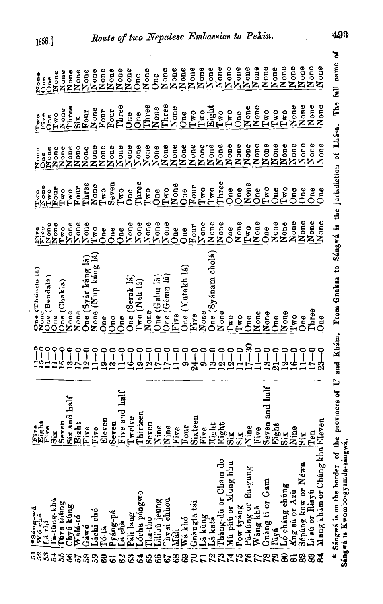| 58                      | ۰.,                              |                                       |                                         | One (Thonda la)                                     |                                              |                            |                                              |                                  |                      |  |
|-------------------------|----------------------------------|---------------------------------------|-----------------------------------------|-----------------------------------------------------|----------------------------------------------|----------------------------|----------------------------------------------|----------------------------------|----------------------|--|
|                         | esáng-wó<br>  Wó chá<br>  Lá-thí | <b>Fight</b><br>Fight<br>Sax<br>Seven | oo                                      | None                                                | Fire<br>Fire                                 | None<br>0<br>B             | None<br>One                                  | Two<br>Five                      | None                 |  |
| 33                      |                                  |                                       | $\degree$                               | One (Bendalá)                                       |                                              | $T_{\mathbf{w}\mathbf{o}}$ |                                              | $\delta$ ne                      | One                  |  |
| 3                       | Tá-túng-khá                      |                                       | $\tilde{ }$                             | $\mathbf{O}$ ne                                     |                                              | Four                       |                                              | Two                              |                      |  |
| 3                       | Tuva thûng                       |                                       | ٩E                                      | One (Chakla                                         |                                              | Two                        |                                              | None                             | None<br>None         |  |
| 36                      | Chyá kūng                        | and half<br>$\ddot{\mathbf{s}}$       | m                                       |                                                     | None<br>None<br>None                         | Two                        | ase<br>Society<br>NAZZ                       | Three                            |                      |  |
| 57                      | Walá-tó                          | Eight<br>Five<br>Five                 | Ņ                                       | None<br>None                                        | None                                         | Four                       | None<br>None<br>None                         | $\overline{\text{Si}}\textbf{x}$ | None<br>None         |  |
|                         | Gáwó                             |                                       |                                         | One (Syár káng lá)                                  | None                                         | Three                      |                                              | Four                             |                      |  |
|                         |                                  |                                       | $\sim$ $-$                              |                                                     |                                              |                            |                                              |                                  | None<br>None         |  |
| 39                      | Láchi chó                        |                                       |                                         | None (Nup kang la                                   | Two                                          | None                       |                                              | None                             |                      |  |
| 8                       | Tó-ta                            | Eleven                                | ھ                                       | One                                                 | One                                          | Two                        |                                              | Four                             |                      |  |
| 6                       |                                  |                                       | æ                                       | One                                                 | One                                          | Seven                      |                                              | Four                             |                      |  |
|                         | Pyáng-pá<br>Lá chá               |                                       |                                         | One                                                 | One                                          | Two                        |                                              | Three                            | None<br>None<br>None |  |
| 83                      | Páli lang                        | Seven<br>Five and half<br>Twelve      | خە                                      | One (Serak lá)                                      |                                              | One                        |                                              | $\mathbf{S}^{\mathbf{e}}$        | None<br>One          |  |
|                         |                                  |                                       |                                         | Two (Nak lá)                                        |                                              | Three                      |                                              | One                              |                      |  |
| $\mathfrak{L}$          | Lócha pángwo                     | Thirteen                              | $\bullet$                               |                                                     |                                              |                            |                                              |                                  |                      |  |
| 3                       | Tha-tho                          | Seven                                 |                                         | None                                                |                                              | $Tw$ o                     |                                              | Three                            | None<br>One          |  |
| $\mathscr{E}$           | Lilibu jeung                     | Nine                                  | $\overline{\omega}$ $\overline{\omega}$ | One (Gabu lá                                        |                                              | One                        |                                              | None                             |                      |  |
| 67                      | <sup>T</sup> hyai chhou          |                                       |                                         | One (Gámu lá                                        | <b>None</b><br><b>Nonee</b><br>NAZZZO<br>One | $T_{\rm w0}$               | <b>EXERCISES</b><br>EXERCISES<br>EXERCISES   | Three                            |                      |  |
| 89                      | Máli                             |                                       | $\frac{1}{11}$                          | Five                                                |                                              | None                       |                                              | None                             |                      |  |
| 69                      | Wá khó                           | Nine<br>Five<br>Four<br>Sixteen       | တ                                       | (Yutakh lá)<br>One $($                              | One                                          | One                        | None<br>None                                 | One                              |                      |  |
|                         |                                  |                                       |                                         |                                                     |                                              | Four                       |                                              | Two                              |                      |  |
| $\mathbf{r}$            | Gnangta tái                      |                                       | $\mathbf{z}$                            | Five                                                | Four<br>None                                 |                            |                                              |                                  |                      |  |
|                         |                                  |                                       | ం                                       | None                                                |                                              | $Tw$ o                     |                                              | Two                              |                      |  |
|                         | Lá küng<br>Lá katá               |                                       | ç,                                      | One (Syánam cholá)                                  | None                                         | Tw                         |                                              | Eight                            |                      |  |
|                         | Tháng-dú or Cham do              |                                       | $\boldsymbol{\mathsf{c}}$               | None                                                | None                                         | Three                      |                                              | T <sub>w0</sub>                  |                      |  |
|                         | Mú phú or Mung bhu               | First<br>Eight<br>Eight<br>Six        | C4                                      | Two                                                 | $\delta$ ne                                  | One                        |                                              | $Tw$ o                           |                      |  |
| 122456                  | Pow tyáng                        | $\ddot{\mathbf{x}}$                   |                                         | T <sub>w</sub>                                      | None                                         | $rac{1}{2}$                | None<br>None<br>None<br>None<br>None<br>None | One                              |                      |  |
|                         | Ba-gung<br>Pá-kúng or            |                                       | ို                                      | One                                                 | $Tw_{0}$                                     | None                       |                                              | None                             | None                 |  |
|                         | Wang khá                         | Nine<br>Five                          | $\overline{Q}$                          | None                                                | None                                         | One                        |                                              | None                             | None                 |  |
| 778                     | Gnang ti or Gam                  | $\tilde{S}$                           | S                                       | None                                                | One                                          | $T_{\rm WD}$               |                                              | $r_{\rm wD}$                     |                      |  |
| e4                      | Túyá                             | ven and half<br>ght                   |                                         | One                                                 |                                              | One                        | None<br>None                                 |                                  | None<br>None         |  |
|                         |                                  | Eig<br>Six                            |                                         |                                                     | None<br>None<br>None                         | Tw0                        | None                                         | $T_{\pi\sigma}^{\infty}$         | None                 |  |
| $\bf{8}$                | Ló cháng chúng                   |                                       | $\mathbf{z}$                            | None                                                |                                              |                            |                                              |                                  |                      |  |
| $\overline{\mathbf{a}}$ | Ang sá or Azú                    | Nine                                  | <u>پ</u>                                | $T_{\rm WD}$                                        |                                              | Oneq                       | None                                         | None                             | None<br>None         |  |
| 82                      | Sépáng kow or Néwa               | $\overline{\text{Si}}$                |                                         | One                                                 | None                                         | One                        | None                                         |                                  |                      |  |
| 8                       | Li su or Risyu                   | $\mathbf{r}_{\text{ex}}$              |                                         | Three                                               | None                                         | One                        | None                                         | None<br>None<br>None             | None<br>None         |  |
|                         | Mang khám or Cháng kha Eleven    |                                       |                                         | $0n$ e                                              | None                                         | One                        | None                                         |                                  |                      |  |
|                         |                                  |                                       |                                         |                                                     |                                              |                            |                                              |                                  |                      |  |
|                         | Sángwá is on the border of the   | provinces of U                        | and Khám.                               | From Gnaksa to Sángwá is the jurisdiction of Lhása. |                                              |                            |                                              | The <sub></sub>                  | ō<br>full hame       |  |
|                         | Sángwá is Kwombo-gyamda-sángwá.  |                                       |                                         |                                                     |                                              |                            |                                              |                                  |                      |  |

1856.]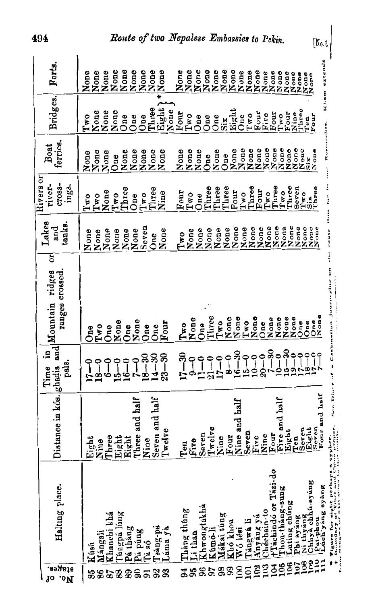494

 $\left[\mathrm{N}_{0.\, \mathrm{G}}\right]$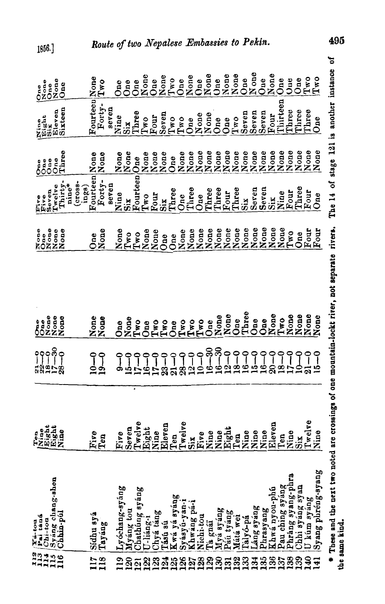| I12<br>113<br>114 | Tá-tou<br>Pai taná<br>$Chi-toa$                     | Feath<br>Kight<br>Kight<br>Xine        | $\tilde{P}$                     | None<br>One<br>$\delta$                                       | None<br>One                | Five<br>Five<br>Seven                   | One<br>One<br>å | Nine<br>Eight<br>Six    | None<br>One<br>Öne |
|-------------------|-----------------------------------------------------|----------------------------------------|---------------------------------|---------------------------------------------------------------|----------------------------|-----------------------------------------|-----------------|-------------------------|--------------------|
| 115<br>116        | Syang chang-shen<br>Chhin-púl                       |                                        | $\frac{8}{1}$<br>9<br>-85       | None<br>None                                                  | None<br>None<br>None       | Thirty<br>Twelve                        | Three<br>One    | Sixteen<br>Eleven       | None<br>One        |
|                   |                                                     |                                        |                                 |                                                               |                            | CTOSS-<br>nine*                         |                 |                         |                    |
|                   | Sídhu syá                                           |                                        |                                 |                                                               | One                        | Fourteen<br>ings)                       |                 | Fourteeu                |                    |
| <b>117</b><br>118 | Tayáng                                              | ËÅ                                     | $19 - 0$                        | None<br>None                                                  | None                       | Forty-                                  | None<br>None    | Forty-                  | None<br>Two        |
|                   |                                                     |                                        |                                 |                                                               |                            | Beven                                   |                 | seven                   |                    |
|                   | Lyóchang-syáng                                      | Vθ<br>Ė                                |                                 | One                                                           | None                       | Nine                                    | None            | Nine                    | One                |
| 119<br>120        | Myáng tou                                           | Seven                                  | <u>ہے</u>                       | $\frac{N}{T}$ wo                                              | $T_{\mathbf{w}\mathbf{o}}$ | Siz                                     | None            | $\ddot{\tilde{\omega}}$ | <b>One</b>         |
| 121               | Chathung syang                                      |                                        |                                 |                                                               | T <sub>wO</sub>            | $\mathbf F$ ourteen $\mathbf p$         | One             | Three                   | One                |
| 122               | U-liáng-1                                           |                                        |                                 | 0ne                                                           | None                       | Two                                     | None            | Two                     | None               |
| $\mathbb{S}^2$    |                                                     |                                        |                                 | $T^{\infty}$                                                  | None                       | Four                                    | None            | Four                    | One                |
|                   | Chyá tăng<br>Tású sú                                |                                        | $\dot{23}$                      | Two                                                           | One                        | $\ddot{\mathbf{s}}$                     | None            | Seven                   | None               |
| 238               | 60<br>Kwá yá syán                                   | Twelve<br>Eight<br>Eine<br>Eine<br>Ten | Ī<br>ದ                          | $\mathbf{G}$                                                  | One                        | Three                                   | One             | $Tw$ o                  | Tw                 |
|                   |                                                     |                                        |                                 | $Tw$ o                                                        | None                       | One                                     | None            | $T_{\rm WO}$            | One                |
|                   | Syásyú-yan-i<br>Khwáng pá-i                         |                                        | 29.2                            | $\Gamma$ wo                                                   | None                       | Three                                   | None            | One                     | None               |
| <b>228</b><br>128 | Nichi tou                                           | Twelve<br>Six<br>Five                  | $\frac{1}{2}$                   | $I_{\rm WD}$                                                  | None                       | One                                     | None            | None                    | One                |
|                   | Ta gnáï                                             | eu<br>Ζ                                | $\approx$<br>≌                  | $\mathbf{O}_{\mathbf{n}\mathbf{e}}$                           | None                       | Three                                   | None            | None                    | None               |
| 130               |                                                     |                                        | $\boldsymbol{\mathcal{S}}$<br>೨ | None                                                          | None                       | Three                                   | None<br>None    | One                     | $rac{e}{2}$        |
| 131               |                                                     | Nine<br>Eight                          | G                               | None                                                          | None                       | Four                                    |                 | One                     | None               |
| 132               | Myà syáng<br>Pán tyáng<br>Mátá wei                  | ng<br>Ning                             | œ                               | Jne                                                           | None                       | Three                                   | None            | Two                     | None               |
| 133               | Talyó-pá                                            | gu                                     | ç                               | Three                                                         | None                       | $\ddot{\mathbf{s}}$                     | None            | Seven                   | 0 <sub>ne</sub>    |
| 134               | Lang syang                                          | <b>BO</b><br>$\overline{z}$            | r.                              | One                                                           | None                       | Seren                                   | None            | Seven                   | N <sub>one</sub>   |
| 135               | Phrasyang                                           | åū<br>Ξ                                |                                 | <b>One</b>                                                    | None                       | Seven                                   | None            | Seven                   | One                |
| 136               | Khwa nyou-phu                                       | even<br>ជ                              |                                 | None                                                          | None                       | Si <sub>K</sub>                         | None            | Four                    | None               |
| 137               | Pau ching syang                                     | Pene<br>Nine                           | $\mathbf{a}$                    | $Tw$ o                                                        | None                       | Nine                                    | None            | <b>Nirteen</b>          | One                |
| 138               | Phrang syang-phra                                   | $\mathbf{a}$                           |                                 | None                                                          | Two                        | Four                                    | None            | Three                   | One                |
| 139               | Chhi syáng syan                                     | Μ<br>.<br>5                            |                                 | None                                                          | One                        | Three                                   | None            | Three                   | One                |
| 140               | U kum syang                                         | Twelve                                 | ျိ                              | None                                                          | Four                       | Four                                    | None            | Three                   | T <sub>w</sub>     |
| 141               | Syang phréng-syang                                  | $\mathbf{a}$<br>ź                      |                                 | None                                                          | $_{\rm Four}$              | One                                     | None            | $Q$ ne                  | T <sub>w</sub>     |
|                   | * These and the next two noted ar<br>the same kind. |                                        |                                 | e crossings of one mountain-lockt river, not separate rivers. |                            | The 14 of stage 121 is another instance |                 |                         | ัธ                 |

 $1856.$ ]

495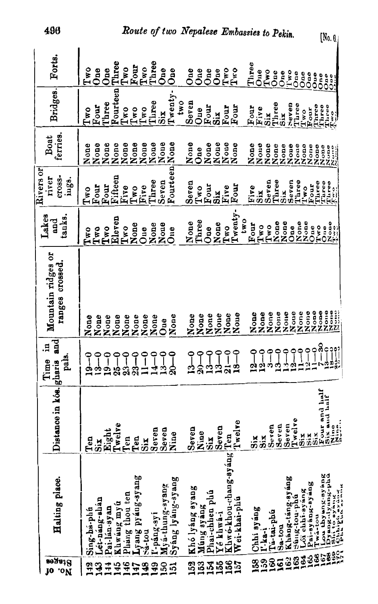| Forts.                                | Three<br>Three<br>Four<br>Two<br>Two<br>Two<br>$0n$ e<br>One<br>0 <sub>ne</sub><br>$0ne$<br>One<br>One                                                                                            | Three<br>Two<br>Two<br>$_{\rm One}$<br>One<br>Two<br>One<br>One                                                                                                                                                                                                                                                                                                                                                                                                                                                                                                               |
|---------------------------------------|---------------------------------------------------------------------------------------------------------------------------------------------------------------------------------------------------|-------------------------------------------------------------------------------------------------------------------------------------------------------------------------------------------------------------------------------------------------------------------------------------------------------------------------------------------------------------------------------------------------------------------------------------------------------------------------------------------------------------------------------------------------------------------------------|
|                                       |                                                                                                                                                                                                   | Two<br>One<br>One<br>One<br>One<br>asas<br>0000                                                                                                                                                                                                                                                                                                                                                                                                                                                                                                                               |
| Bridges.                              | Fourteen<br>Twenty-<br>Three<br>Seven<br>two<br>Three<br>Four<br>T <sub>w0</sub><br>Two<br>Two<br>One<br>Two<br>$\overline{\text{Six}}$                                                           | Three<br>heven<br>Three<br>Three<br>Three<br>$\begin{array}{c} \bar{\tau} \text{tree} \\ \text{true} \\ \text{true} \end{array}$<br>Four<br>Four<br>Four<br>Four<br>$\frac{1}{10}$ work<br>Tive<br>$\sin$<br>Six<br>$\ddot{\mathbf{s}}$                                                                                                                                                                                                                                                                                                                                       |
| ferries.<br>Boat                      | Noue<br>None<br>None<br>Noue<br>None<br>None<br>None<br>None<br>None<br>None<br>One                                                                                                               | None<br>None<br>None<br>None<br>None<br>None<br>None<br>None<br>None<br>Noue<br>None<br>None<br>None<br>None<br>$\begin{array}{c}\n\mathbf{a} \\ \mathbf{b} \\ \mathbf{c} \\ \mathbf{c} \\ \mathbf{c} \\ \mathbf{c} \\ \mathbf{c} \\ \mathbf{c} \\ \mathbf{c} \\ \mathbf{c} \\ \mathbf{c} \\ \mathbf{c} \\ \mathbf{c} \\ \mathbf{c} \\ \mathbf{c} \\ \mathbf{c} \\ \mathbf{c} \\ \mathbf{c} \\ \mathbf{c} \\ \mathbf{c} \\ \mathbf{c} \\ \mathbf{c} \\ \mathbf{c} \\ \mathbf{c} \\ \mathbf{c} \\ \mathbf{c} \\ \mathbf{c} \\ \mathbf{c} \\ \mathbf{c} \\ \mathbf{c} \\ \math$ |
| Rivers or<br>cross-<br>river<br>ings. | Fourteen None<br>Fifteen<br>Three<br>Seven<br>Seven<br>Four<br>Four<br>Five<br>Five<br>Two<br>Two<br>Two                                                                                          | Seven<br>Seven<br>Three<br>Three<br>Four<br>Three<br>Turee<br>Three<br>Two<br>Four<br>$F_{\text{out}}$<br>Six<br>1.70<br>Five<br>Five<br>$\frac{3}{2}$<br>Six                                                                                                                                                                                                                                                                                                                                                                                                                 |
| Lakes<br>tanks.<br>$_{ad}$            | Eleven<br>Three<br>None<br>None<br>None<br>None<br>Two<br>$Tw$ o<br>Tw0<br>$0u$ e<br>One<br>Two                                                                                                   | Twenty-<br>two<br>None<br>None<br>None<br>None<br>$\frac{N \circ n}{T \cdot n}$<br>None<br>Four<br>Two<br>One<br>Two<br>Two<br>One<br>One<br>One<br>Two                                                                                                                                                                                                                                                                                                                                                                                                                       |
| Mountain ridges or<br>ranges crossed. | None<br>None<br>None<br>None<br>None<br>None<br>None<br>None<br>None<br>None<br>None<br>$0u$ e                                                                                                    | None<br>Noue<br>None<br>None<br>None<br>None<br>None<br>None<br>None<br>Noue<br>None<br>Noue<br>None                                                                                                                                                                                                                                                                                                                                                                                                                                                                          |
| .크<br>pals.<br>Time                   | $20 - 0$<br>$\frac{1}{2}$<br>ု<br>$\degree$<br>$14 - 0$<br>ု<br>ု<br>ု<br>ု<br>ု<br>್ತೆ<br><u>के</u><br>$\frac{1}{20}$<br><u>d</u><br>ಜಿಸೆ<br>$\frac{3}{21}$<br>$\mathbf{a}$                      | $\frac{1}{2} - \frac{3}{6}$<br>$\frac{32}{36}$<br>$\frac{1}{2}$<br><u>၂</u><br>1<br>$3 - 0$<br>$12 - 0$<br>$12 - 0$<br>$18 - 0$<br>$21 - 0$<br>7<br>၎<br>ż<br>3<br>اپه<br>ا<br>₫<br>ವ                                                                                                                                                                                                                                                                                                                                                                                         |
| Distance in kós. gharis and           | ve<br>Seven<br>Eight<br>Seven<br>Nine<br>Nine<br>Twel<br>Ten<br>Ten<br>Ten<br>Six<br>$\frac{1}{2}$                                                                                                | Four and half<br>Six and half<br>Nine<br>Sine,<br>Twelve<br>Six<br>Twelve<br>Seven<br>Seven<br>Seven<br>Seven<br>usia<br>Sia<br>Six<br>Ö<br>$\frac{1}{2}$<br>$\sin$<br>six                                                                                                                                                                                                                                                                                                                                                                                                    |
| Halting place.                        | Lyang pyang-syang<br>Syáng lyáng-syang<br>Myá-thung-syang<br>Khó lyáng syang<br>Phang thou ten<br>Lét-náng-shan<br>Khwáng myú<br>Pai-lán-syan<br>Sing-há-phin<br>l'-páng-syi<br>$\frac{1}{2}$ ton | Khwo-khou-chang-syang Ten<br>Lou thy ing-sy ing<br>Dynag-dynag-phú<br>Shi to sy ing-phú<br>Chi thu a xynna<br>Khang-tang-syang<br>Pai-syang-syang<br>Lói chhi-syáng<br>Múng syáng<br>Phai-chhen phú<br>bid-ron-big<br>Wei-khai-phu<br>Chhi syang<br>Tá-tai-phú<br>Yé khwá-i<br>Twa-tou<br>Sa-tou<br>$I - k a - 1$                                                                                                                                                                                                                                                             |
| Btages<br>'ON<br>10                   | 153<br>152<br>46<br>45<br>\$<br>ຂ<br>4<br>$\ddot{t}$<br>$\frac{9}{2}$<br>ವ                                                                                                                        | 18853807<br>164<br>163<br>162<br>159<br>160<br>38<br>ទ្ធ<br>156<br>155<br>157<br>154                                                                                                                                                                                                                                                                                                                                                                                                                                                                                          |

 $[N_0, \theta]$